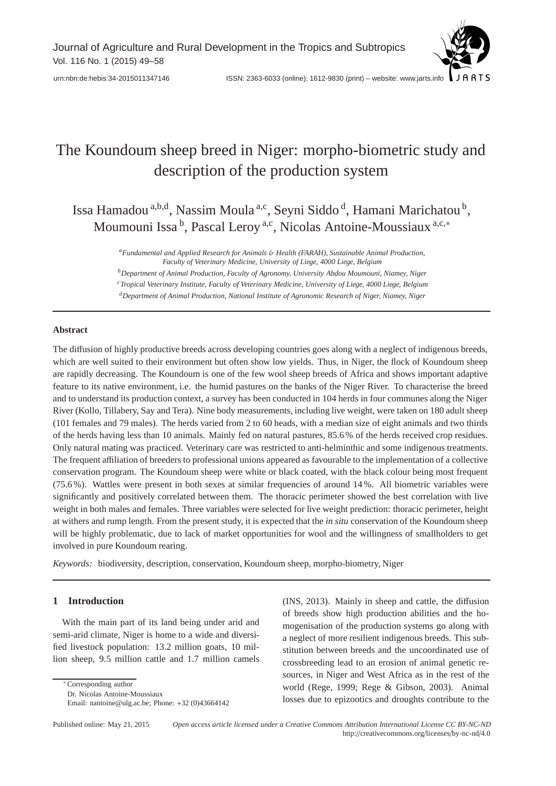

# The Koundoum sheep breed in Niger: morpho-biometric study and description of the production system

Issa Hamadou a,b,d, Nassim Moula a,c, Seyni Siddo d, Hamani Marichatou b, Moumouni Issa<sup>b</sup>, Pascal Leroy<sup>a,c</sup>, Nicolas Antoine-Moussiaux<sup>a,c,∗</sup>

> *aFundamental and Applied Research for Animals* & *Health (FARAH), Sustainable Animal Production, Faculty of Veterinary Medicine, University of Liege, 4000 Liege, Belgium*

> *bDepartment of Animal Production, Faculty of Agronomy, University Abdou Moumouni, Niamey, Niger*

*cTropical Veterinary Institute, Faculty of Veterinary Medicine, University of Liege, 4000 Liege, Belgium*

*dDepartment of Animal Production, National Institute of Agronomic Research of Niger, Niamey, Niger*

## **Abstract**

The diffusion of highly productive breeds across developing countries goes along with a neglect of indigenous breeds, which are well suited to their environment but often show low yields. Thus, in Niger, the flock of Koundoum sheep are rapidly decreasing. The Koundoum is one of the few wool sheep breeds of Africa and shows important adaptive feature to its native environment, i.e. the humid pastures on the banks of the Niger River. To characterise the breed and to understand its production context, a survey has been conducted in 104 herds in four communes along the Niger River (Kollo, Tillabery, Say and Tera). Nine body measurements, including live weight, were taken on 180 adult sheep (101 females and 79 males). The herds varied from 2 to 60 heads, with a median size of eight animals and two thirds of the herds having less than 10 animals. Mainly fed on natural pastures, 85.6 % of the herds received crop residues. Only natural mating was practiced. Veterinary care was restricted to anti-helminthic and some indigenous treatments. The frequent affiliation of breeders to professional unions appeared as favourable to the implementation of a collective conservation program. The Koundoum sheep were white or black coated, with the black colour being most frequent (75.6 %). Wattles were present in both sexes at similar frequencies of around 14 %. All biometric variables were significantly and positively correlated between them. The thoracic perimeter showed the best correlation with live weight in both males and females. Three variables were selected for live weight prediction: thoracic perimeter, height at withers and rump length. From the present study, it is expected that the *in situ* conservation of the Koundoum sheep will be highly problematic, due to lack of market opportunities for wool and the willingness of smallholders to get involved in pure Koundoum rearing.

*Keywords:* biodiversity, description, conservation, Koundoum sheep, morpho-biometry, Niger

## **1 Introduction**

With the main part of its land being under arid and semi-arid climate, Niger is home to a wide and diversified livestock population: 13.2 million goats, 10 million sheep, 9.5 million cattle and 1.7 million camels (INS, 2013). Mainly in sheep and cattle, the diffusion of breeds show high production abilities and the homogenisation of the production systems go along with a neglect of more resilient indigenous breeds. This substitution between breeds and the uncoordinated use of crossbreeding lead to an erosion of animal genetic resources, in Niger and West Africa as in the rest of the world (Rege, 1999; Rege & Gibson, 2003). Animal losses due to epizootics and droughts contribute to the

Published online: May 21, 2015 *Open access article licensed under a Creative Commons Attribution International License CC BY-NC-ND* http://creativecommons.org/licenses/by-nc-nd/4.0

<sup>∗</sup> Corresponding author

Dr. Nicolas Antoine-Moussiaux

Email: nantoine@ulg.ac.be; Phone: +32 (0)43664142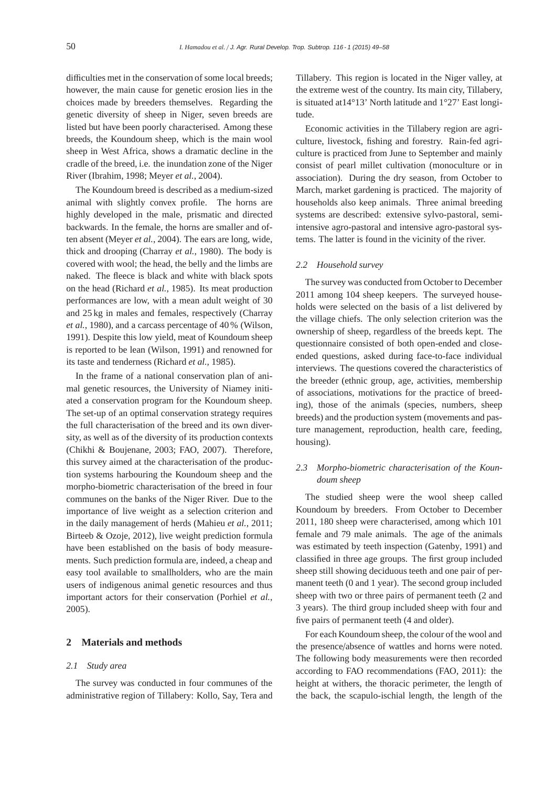difficulties met in the conservation of some local breeds; however, the main cause for genetic erosion lies in the choices made by breeders themselves. Regarding the genetic diversity of sheep in Niger, seven breeds are listed but have been poorly characterised. Among these breeds, the Koundoum sheep, which is the main wool sheep in West Africa, shows a dramatic decline in the cradle of the breed, i.e. the inundation zone of the Niger River (Ibrahim, 1998; Meyer *et al.*, 2004).

The Koundoum breed is described as a medium-sized animal with slightly convex profile. The horns are highly developed in the male, prismatic and directed backwards. In the female, the horns are smaller and often absent (Meyer *et al.*, 2004). The ears are long, wide, thick and drooping (Charray *et al.*, 1980). The body is covered with wool; the head, the belly and the limbs are naked. The fleece is black and white with black spots on the head (Richard *et al.*, 1985). Its meat production performances are low, with a mean adult weight of 30 and 25 kg in males and females, respectively (Charray *et al.*, 1980), and a carcass percentage of 40 % (Wilson, 1991). Despite this low yield, meat of Koundoum sheep is reported to be lean (Wilson, 1991) and renowned for its taste and tenderness (Richard *et al.*, 1985).

In the frame of a national conservation plan of animal genetic resources, the University of Niamey initiated a conservation program for the Koundoum sheep. The set-up of an optimal conservation strategy requires the full characterisation of the breed and its own diversity, as well as of the diversity of its production contexts (Chikhi & Boujenane, 2003; FAO, 2007). Therefore, this survey aimed at the characterisation of the production systems harbouring the Koundoum sheep and the morpho-biometric characterisation of the breed in four communes on the banks of the Niger River. Due to the importance of live weight as a selection criterion and in the daily management of herds (Mahieu *et al.*, 2011; Birteeb & Ozoje, 2012), live weight prediction formula have been established on the basis of body measurements. Such prediction formula are, indeed, a cheap and easy tool available to smallholders, who are the main users of indigenous animal genetic resources and thus important actors for their conservation (Porhiel *et al.*, 2005).

## **2 Materials and methods**

#### *2.1 Study area*

The survey was conducted in four communes of the administrative region of Tillabery: Kollo, Say, Tera and Tillabery. This region is located in the Niger valley, at the extreme west of the country. Its main city, Tillabery, is situated at14°13' North latitude and 1°27' East longitude.

Economic activities in the Tillabery region are agriculture, livestock, fishing and forestry. Rain-fed agriculture is practiced from June to September and mainly consist of pearl millet cultivation (monoculture or in association). During the dry season, from October to March, market gardening is practiced. The majority of households also keep animals. Three animal breeding systems are described: extensive sylvo-pastoral, semiintensive agro-pastoral and intensive agro-pastoral systems. The latter is found in the vicinity of the river.

#### *2.2 Household survey*

The survey was conducted from October to December 2011 among 104 sheep keepers. The surveyed households were selected on the basis of a list delivered by the village chiefs. The only selection criterion was the ownership of sheep, regardless of the breeds kept. The questionnaire consisted of both open-ended and closeended questions, asked during face-to-face individual interviews. The questions covered the characteristics of the breeder (ethnic group, age, activities, membership of associations, motivations for the practice of breeding), those of the animals (species, numbers, sheep breeds) and the production system (movements and pasture management, reproduction, health care, feeding, housing).

# *2.3 Morpho-biometric characterisation of the Koundoum sheep*

The studied sheep were the wool sheep called Koundoum by breeders. From October to December 2011, 180 sheep were characterised, among which 101 female and 79 male animals. The age of the animals was estimated by teeth inspection (Gatenby, 1991) and classified in three age groups. The first group included sheep still showing deciduous teeth and one pair of permanent teeth (0 and 1 year). The second group included sheep with two or three pairs of permanent teeth (2 and 3 years). The third group included sheep with four and five pairs of permanent teeth (4 and older).

For each Koundoum sheep, the colour of the wool and the presence/absence of wattles and horns were noted. The following body measurements were then recorded according to FAO recommendations (FAO, 2011): the height at withers, the thoracic perimeter, the length of the back, the scapulo-ischial length, the length of the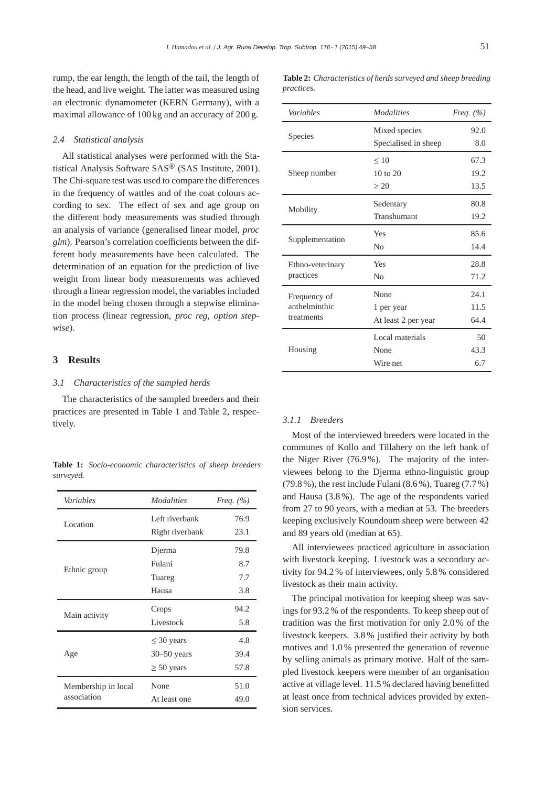rump, the ear length, the length of the tail, the length of the head, and live weight. The latter was measured using an electronic dynamometer (KERN Germany), with a maximal allowance of 100 kg and an accuracy of 200 g.

#### *2.4 Statistical analysis*

All statistical analyses were performed with the Statistical Analysis Software SAS® (SAS Institute, 2001). The Chi-square test was used to compare the differences in the frequency of wattles and of the coat colours according to sex. The effect of sex and age group on the different body measurements was studied through an analysis of variance (generalised linear model, *proc glm*). Pearson's correlation coefficients between the different body measurements have been calculated. The determination of an equation for the prediction of live weight from linear body measurements was achieved through a linear regression model, the variables included in the model being chosen through a stepwise elimination process (linear regression, *proc reg, option stepwise*).

## **3 Results**

# *3.1 Characteristics of the sampled herds*

The characteristics of the sampled breeders and their practices are presented in Table 1 and Table 2, respectively.

**Table 1:** *Socio-economic characteristics of sheep breeders surveyed.*

| Variables           | <i>Modalities</i> | Freq. $(\% )$ |
|---------------------|-------------------|---------------|
| Location            | Left riverbank    | 76.9          |
|                     | Right riverbank   | 23.1          |
|                     | Djerma            | 79.8          |
|                     | Fulani            | 8.7           |
| Ethnic group        | Tuareg            | 7.7           |
|                     | Hausa             | 3.8           |
|                     | Crops             | 94.2          |
| Main activity       | Livestock         | 5.8           |
|                     | $\leq 30$ years   | 4.8           |
| Age                 | $30 - 50$ years   | 39.4          |
|                     | $\geq 50$ years   | 57.8          |
| Membership in local | None              | 51.0          |
| association         | At least one      | 49.0          |

**Table 2:** *Characteristics of herds surveyed and sheep breeding practices.*

| Variables                   | <i>Modalities</i>    | Freq. $(\% )$ |
|-----------------------------|----------------------|---------------|
| Species                     | Mixed species        | 92.0          |
|                             | Specialised in sheep | 8.0           |
|                             | $\leq 10$            | 67.3          |
| Sheep number                | $10 \text{ to } 20$  | 19.2          |
|                             | $\geq 20$            | 13.5          |
| Mobility                    | Sedentary            | 80.8          |
|                             | Transhumant          | 19.2          |
| Supplementation             | Yes                  | 85.6          |
|                             | No                   | 14.4          |
| Ethno-veterinary            | Yes                  | 28.8          |
| practices                   | No                   | 71.2          |
| Frequency of                | None                 | 24.1          |
| anthelminthic<br>treatments | 1 per year           | 11.5          |
|                             | At least 2 per year  | 64.4          |
|                             | Local materials      | 50            |
| Housing                     | None                 | 43.3          |
|                             | Wire net             | 6.7           |

## *3.1.1 Breeders*

Most of the interviewed breeders were located in the communes of Kollo and Tillabery on the left bank of the Niger River (76.9%). The majority of the interviewees belong to the Djerma ethno-linguistic group (79.8 %), the rest include Fulani (8.6 %), Tuareg (7.7 %) and Hausa (3.8 %). The age of the respondents varied from 27 to 90 years, with a median at 53. The breeders keeping exclusively Koundoum sheep were between 42 and 89 years old (median at 65).

All interviewees practiced agriculture in association with livestock keeping. Livestock was a secondary activity for 94.2 % of interviewees, only 5.8 % considered livestock as their main activity.

The principal motivation for keeping sheep was savings for 93.2 % of the respondents. To keep sheep out of tradition was the first motivation for only 2.0 % of the livestock keepers. 3.8 % justified their activity by both motives and 1.0 % presented the generation of revenue by selling animals as primary motive. Half of the sampled livestock keepers were member of an organisation active at village level. 11.5 % declared having benefitted at least once from technical advices provided by extension services.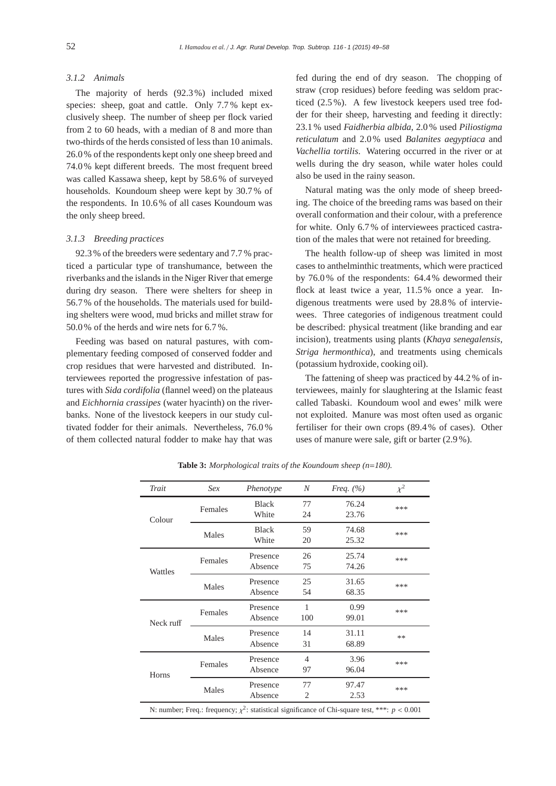## *3.1.2 Animals*

The majority of herds (92.3%) included mixed species: sheep, goat and cattle. Only 7.7 % kept exclusively sheep. The number of sheep per flock varied from 2 to 60 heads, with a median of 8 and more than two-thirds of the herds consisted of less than 10 animals. 26.0 % of the respondents kept only one sheep breed and 74.0 % kept different breeds. The most frequent breed was called Kassawa sheep, kept by 58.6 % of surveyed households. Koundoum sheep were kept by 30.7 % of the respondents. In 10.6 % of all cases Koundoum was the only sheep breed.

## *3.1.3 Breeding practices*

92.3 % of the breeders were sedentary and 7.7 % practiced a particular type of transhumance, between the riverbanks and the islands in the Niger River that emerge during dry season. There were shelters for sheep in 56.7 % of the households. The materials used for building shelters were wood, mud bricks and millet straw for 50.0 % of the herds and wire nets for 6.7 %.

Feeding was based on natural pastures, with complementary feeding composed of conserved fodder and crop residues that were harvested and distributed. Interviewees reported the progressive infestation of pastures with *Sida cordifolia* (flannel weed) on the plateaus and *Eichhornia crassipes* (water hyacinth) on the riverbanks. None of the livestock keepers in our study cultivated fodder for their animals. Nevertheless, 76.0 % of them collected natural fodder to make hay that was

fed during the end of dry season. The chopping of straw (crop residues) before feeding was seldom practiced (2.5 %). A few livestock keepers used tree fodder for their sheep, harvesting and feeding it directly: 23.1 % used *Faidherbia albida*, 2.0 % used *Piliostigma reticulatum* and 2.0 % used *Balanites aegyptiaca* and *Vachellia tortilis*. Watering occurred in the river or at wells during the dry season, while water holes could also be used in the rainy season.

Natural mating was the only mode of sheep breeding. The choice of the breeding rams was based on their overall conformation and their colour, with a preference for white. Only 6.7 % of interviewees practiced castration of the males that were not retained for breeding.

The health follow-up of sheep was limited in most cases to anthelminthic treatments, which were practiced by 76.0 % of the respondents: 64.4 % dewormed their flock at least twice a year, 11.5 % once a year. Indigenous treatments were used by 28.8 % of interviewees. Three categories of indigenous treatment could be described: physical treatment (like branding and ear incision), treatments using plants (*Khaya senegalensis*, *Striga hermonthica*), and treatments using chemicals (potassium hydroxide, cooking oil).

The fattening of sheep was practiced by 44.2 % of interviewees, mainly for slaughtering at the Islamic feast called Tabaski. Koundoum wool and ewes' milk were not exploited. Manure was most often used as organic fertiliser for their own crops (89.4 % of cases). Other uses of manure were sale, gift or barter (2.9 %).

| Trait     | Sex     | Phenotype             | N        | Freq. $(\%)$                                                                                          | $\chi^2$ |
|-----------|---------|-----------------------|----------|-------------------------------------------------------------------------------------------------------|----------|
| Colour    | Females | <b>Black</b><br>White | 77<br>24 | 76.24<br>23.76                                                                                        | ***      |
|           | Males   | <b>Black</b><br>White | 59<br>20 | 74.68<br>25.32                                                                                        | ***      |
| Wattles   | Females | Presence<br>Absence   | 26<br>75 | 25.74<br>74.26                                                                                        | ***      |
|           | Males   | Presence<br>Absence   | 25<br>54 | 31.65<br>68.35                                                                                        | ***      |
| Neck ruff | Females | Presence<br>Absence   | 1<br>100 | 0.99<br>99.01                                                                                         | ***      |
|           | Males   | Presence<br>Absence   | 14<br>31 | 31.11<br>68.89                                                                                        | **       |
| Horns     | Females | Presence<br>Absence   | 4<br>97  | 3.96<br>96.04                                                                                         | ***      |
|           | Males   | Presence<br>Absence   | 77<br>2  | 97.47<br>2.53                                                                                         | ***      |
|           |         |                       |          | N: number; Freq.: frequency; $\chi^2$ : statistical significance of Chi-square test, ***: $p < 0.001$ |          |

**Table 3:** *Morphological traits of the Koundoum sheep (n*=*180).*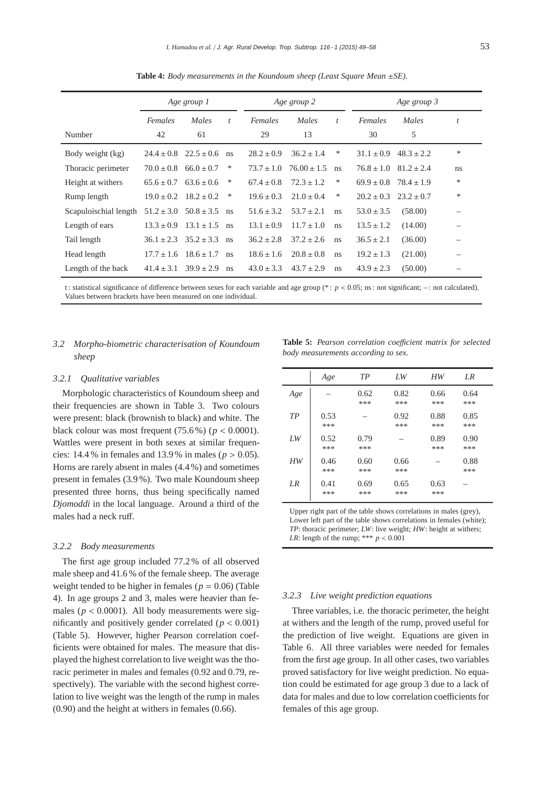|                       | Age group 1    |                                  | Age group 2  |                |                 | Age group 3   |                               |                |        |
|-----------------------|----------------|----------------------------------|--------------|----------------|-----------------|---------------|-------------------------------|----------------|--------|
|                       | Females        | Males                            | $\mathbf{t}$ | Females        | Males           | $\mathbf{t}$  | Females                       | Males          | t      |
| Number                | 42             | 61                               |              | 29             | 13              |               | 30                            | 5              |        |
| Body weight (kg)      | $24.4 \pm 0.8$ | $22.5 \pm 0.6$ ns                |              | $28.2 \pm 0.9$ | $36.2 \pm 1.4$  | ∗             | $31.1 \pm 0.9$                | $48.3 \pm 2.2$ | $\ast$ |
| Thoracic perimeter    | $70.0 \pm 0.8$ | $66.0 \pm 0.7$                   | ∗            | $73.7 \pm 1.0$ | $76.00 \pm 1.5$ | ns            | $76.8 \pm 1.0$ $81.2 \pm 2.4$ |                | ns     |
| Height at withers     | $65.6 \pm 0.7$ | $63.6 \pm 0.6$                   | ∗            | $67.4 \pm 0.8$ | $72.3 \pm 1.2$  | ∗             | $69.9 \pm 0.8$ 78.4 $\pm 1.9$ |                | ∗      |
| Rump length           | $19.0 \pm 0.2$ | $18.2 \pm 0.2$                   | ∗            | $19.6 \pm 0.3$ | $21.0 \pm 0.4$  | ∗             | $20.2 \pm 0.3$                | $23.2 \pm 0.7$ | $\ast$ |
| Scapuloischial length |                | $51.2 \pm 3.0$ $50.8 \pm 3.5$ ns |              | $51.6 \pm 3.2$ | $53.7 \pm 2.1$  | ns.           | $53.0 \pm 3.5$                | (58.00)        |        |
| Length of ears        | $13.3 \pm 0.9$ | $13.1 \pm 1.5$                   | ns           | $13.1 \pm 0.9$ | $11.7 \pm 1.0$  | <sub>ns</sub> | $13.5 \pm 1.2$                | (14.00)        |        |
| Tail length           | $36.1 \pm 2.3$ | $35.2 \pm 3.3$                   | ns           | $36.2 \pm 2.8$ | $37.2 \pm 2.6$  | ns            | $36.5 \pm 2.1$                | (36.00)        |        |
| Head length           | $17.7 \pm 1.6$ | $18.6 \pm 1.7$                   | ns           | $18.6 \pm 1.6$ | $20.8 \pm 0.8$  | ns            | $19.2 \pm 1.3$                | (21.00)        |        |
| Length of the back    | $41.4 \pm 3.1$ | $39.9 \pm 2.9$                   | ns           | $43.0 \pm 3.3$ | $43.7 \pm 2.9$  | ns.           | $43.9 \pm 2.3$                | (50.00)        |        |

**Table 4:** *Body measurements in the Koundoum sheep (Least Square Mean* ±*SE).*

t : statistical significance of difference between sexes for each variable and age group (\* :  $p < 0.05$ ; ns : not significant; - : not calculated). Values between brackets have been measured on one individual.

# *3.2 Morpho-biometric characterisation of Koundoum sheep*

#### *3.2.1 Qualitative variables*

Morphologic characteristics of Koundoum sheep and their frequencies are shown in Table 3. Two colours were present: black (brownish to black) and white. The black colour was most frequent  $(75.6\%)$  ( $p < 0.0001$ ). Wattles were present in both sexes at similar frequencies: 14.4 % in females and 13.9 % in males ( $p > 0.05$ ). Horns are rarely absent in males (4.4 %) and sometimes present in females (3.9 %). Two male Koundoum sheep presented three horns, thus being specifically named *Djomoddi* in the local language. Around a third of the males had a neck ruff.

#### *3.2.2 Body measurements*

The first age group included 77.2 % of all observed male sheep and 41.6 % of the female sheep. The average weight tended to be higher in females ( $p = 0.06$ ) (Table 4). In age groups 2 and 3, males were heavier than females ( $p < 0.0001$ ). All body measurements were significantly and positively gender correlated ( $p < 0.001$ ) (Table 5). However, higher Pearson correlation coefficients were obtained for males. The measure that displayed the highest correlation to live weight was the thoracic perimeter in males and females (0.92 and 0.79, respectively). The variable with the second highest correlation to live weight was the length of the rump in males (0.90) and the height at withers in females (0.66).

**Table 5:** *Pearson correlation coefficient matrix for selected body measurements according to sex.*

|     | Age         | TP          | LW          | HW          | LR          |
|-----|-------------|-------------|-------------|-------------|-------------|
| Age |             | 0.62<br>*** | 0.82<br>*** | 0.66<br>*** | 0.64<br>*** |
| TP  | 0.53<br>*** |             | 0.92<br>*** | 0.88<br>*** | 0.85<br>*** |
| LW  | 0.52<br>*** | 0.79<br>*** |             | 0.89<br>*** | 0.90<br>*** |
| HW  | 0.46<br>*** | 0.60<br>*** | 0.66<br>*** |             | 0.88<br>*** |
| LR  | 0.41<br>*** | 0.69<br>*** | 0.65<br>*** | 0.63<br>*** |             |

Upper right part of the table shows correlations in males (grey), Lower left part of the table shows correlations in females (white); *TP*: thoracic perimeter; *LW*: live weight; *HW*: height at withers; *LR*: length of the rump; \*\*\*  $p < 0.001$ 

## *3.2.3 Live weight prediction equations*

Three variables, i.e. the thoracic perimeter, the height at withers and the length of the rump, proved useful for the prediction of live weight. Equations are given in Table 6. All three variables were needed for females from the first age group. In all other cases, two variables proved satisfactory for live weight prediction. No equation could be estimated for age group 3 due to a lack of data for males and due to low correlation coefficients for females of this age group.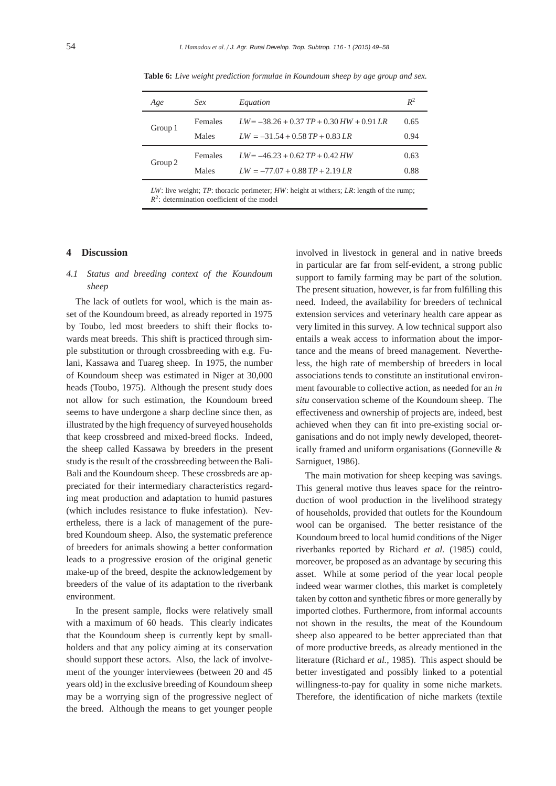| Age     | <i>Sex</i>     | Equation                                    | $R^2$ |
|---------|----------------|---------------------------------------------|-------|
| Group 1 | <b>Females</b> | $LW = -38.26 + 0.37 TP + 0.30 HW + 0.91 LR$ | 0.65  |
| Males   |                | $LW = -31.54 + 0.58 TP + 0.83 LR$           | 0.94  |
| Group 2 | <b>Females</b> | $LW = -46.23 + 0.62 TP + 0.42 HW$           | 0.63  |
|         | Males          | $LW = -77.07 + 0.88 TP + 2.19 LR$           | 0.88  |

**Table 6:** *Live weight prediction formulae in Koundoum sheep by age group and sex.*

*LW*: live weight; *TP*: thoracic perimeter; *HW*: height at withers; *LR*: length of the rump; *R*2: determination coefficient of the model

## **4 Discussion**

# *4.1 Status and breeding context of the Koundoum sheep*

The lack of outlets for wool, which is the main asset of the Koundoum breed, as already reported in 1975 by Toubo, led most breeders to shift their flocks towards meat breeds. This shift is practiced through simple substitution or through crossbreeding with e.g. Fulani, Kassawa and Tuareg sheep. In 1975, the number of Koundoum sheep was estimated in Niger at 30,000 heads (Toubo, 1975). Although the present study does not allow for such estimation, the Koundoum breed seems to have undergone a sharp decline since then, as illustrated by the high frequency of surveyed households that keep crossbreed and mixed-breed flocks. Indeed, the sheep called Kassawa by breeders in the present study is the result of the crossbreeding between the Bali-Bali and the Koundoum sheep. These crossbreds are appreciated for their intermediary characteristics regarding meat production and adaptation to humid pastures (which includes resistance to fluke infestation). Nevertheless, there is a lack of management of the purebred Koundoum sheep. Also, the systematic preference of breeders for animals showing a better conformation leads to a progressive erosion of the original genetic make-up of the breed, despite the acknowledgement by breeders of the value of its adaptation to the riverbank environment.

In the present sample, flocks were relatively small with a maximum of 60 heads. This clearly indicates that the Koundoum sheep is currently kept by smallholders and that any policy aiming at its conservation should support these actors. Also, the lack of involvement of the younger interviewees (between 20 and 45 years old) in the exclusive breeding of Koundoum sheep may be a worrying sign of the progressive neglect of the breed. Although the means to get younger people

involved in livestock in general and in native breeds in particular are far from self-evident, a strong public support to family farming may be part of the solution. The present situation, however, is far from fulfilling this need. Indeed, the availability for breeders of technical extension services and veterinary health care appear as very limited in this survey. A low technical support also entails a weak access to information about the importance and the means of breed management. Nevertheless, the high rate of membership of breeders in local associations tends to constitute an institutional environment favourable to collective action, as needed for an *in situ* conservation scheme of the Koundoum sheep. The effectiveness and ownership of projects are, indeed, best achieved when they can fit into pre-existing social organisations and do not imply newly developed, theoretically framed and uniform organisations (Gonneville & Sarniguet, 1986).

The main motivation for sheep keeping was savings. This general motive thus leaves space for the reintroduction of wool production in the livelihood strategy of households, provided that outlets for the Koundoum wool can be organised. The better resistance of the Koundoum breed to local humid conditions of the Niger riverbanks reported by Richard *et al.* (1985) could, moreover, be proposed as an advantage by securing this asset. While at some period of the year local people indeed wear warmer clothes, this market is completely taken by cotton and synthetic fibres or more generally by imported clothes. Furthermore, from informal accounts not shown in the results, the meat of the Koundoum sheep also appeared to be better appreciated than that of more productive breeds, as already mentioned in the literature (Richard *et al.*, 1985). This aspect should be better investigated and possibly linked to a potential willingness-to-pay for quality in some niche markets. Therefore, the identification of niche markets (textile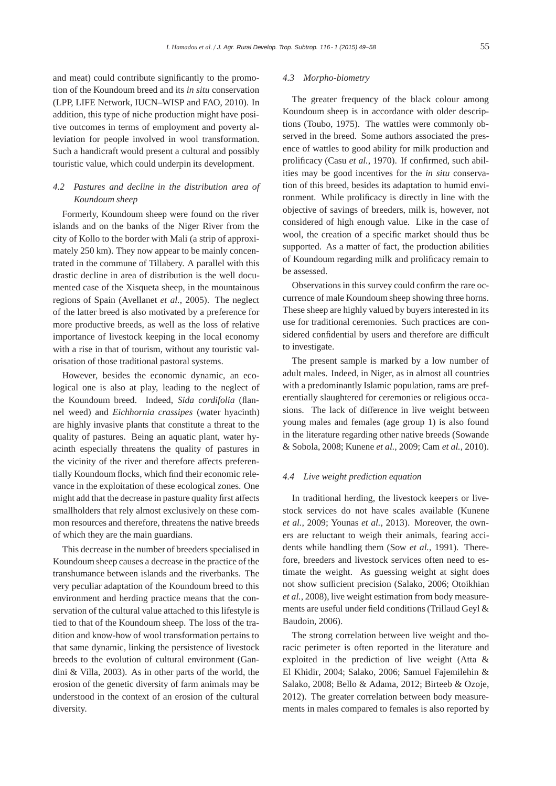and meat) could contribute significantly to the promotion of the Koundoum breed and its *in situ* conservation (LPP, LIFE Network, IUCN–WISP and FAO, 2010). In addition, this type of niche production might have positive outcomes in terms of employment and poverty alleviation for people involved in wool transformation. Such a handicraft would present a cultural and possibly touristic value, which could underpin its development.

# *4.2 Pastures and decline in the distribution area of Koundoum sheep*

Formerly, Koundoum sheep were found on the river islands and on the banks of the Niger River from the city of Kollo to the border with Mali (a strip of approximately 250 km). They now appear to be mainly concentrated in the commune of Tillabery. A parallel with this drastic decline in area of distribution is the well documented case of the Xisqueta sheep, in the mountainous regions of Spain (Avellanet *et al.*, 2005). The neglect of the latter breed is also motivated by a preference for more productive breeds, as well as the loss of relative importance of livestock keeping in the local economy with a rise in that of tourism, without any touristic valorisation of those traditional pastoral systems.

However, besides the economic dynamic, an ecological one is also at play, leading to the neglect of the Koundoum breed. Indeed, *Sida cordifolia* (flannel weed) and *Eichhornia crassipes* (water hyacinth) are highly invasive plants that constitute a threat to the quality of pastures. Being an aquatic plant, water hyacinth especially threatens the quality of pastures in the vicinity of the river and therefore affects preferentially Koundoum flocks, which find their economic relevance in the exploitation of these ecological zones. One might add that the decrease in pasture quality first affects smallholders that rely almost exclusively on these common resources and therefore, threatens the native breeds of which they are the main guardians.

This decrease in the number of breeders specialised in Koundoum sheep causes a decrease in the practice of the transhumance between islands and the riverbanks. The very peculiar adaptation of the Koundoum breed to this environment and herding practice means that the conservation of the cultural value attached to this lifestyle is tied to that of the Koundoum sheep. The loss of the tradition and know-how of wool transformation pertains to that same dynamic, linking the persistence of livestock breeds to the evolution of cultural environment (Gandini & Villa, 2003). As in other parts of the world, the erosion of the genetic diversity of farm animals may be understood in the context of an erosion of the cultural diversity.

### *4.3 Morpho-biometry*

The greater frequency of the black colour among Koundoum sheep is in accordance with older descriptions (Toubo, 1975). The wattles were commonly observed in the breed. Some authors associated the presence of wattles to good ability for milk production and prolificacy (Casu *et al.*, 1970). If confirmed, such abilities may be good incentives for the *in situ* conservation of this breed, besides its adaptation to humid environment. While prolificacy is directly in line with the objective of savings of breeders, milk is, however, not considered of high enough value. Like in the case of wool, the creation of a specific market should thus be supported. As a matter of fact, the production abilities of Koundoum regarding milk and prolificacy remain to be assessed.

Observations in this survey could confirm the rare occurrence of male Koundoum sheep showing three horns. These sheep are highly valued by buyers interested in its use for traditional ceremonies. Such practices are considered confidential by users and therefore are difficult to investigate.

The present sample is marked by a low number of adult males. Indeed, in Niger, as in almost all countries with a predominantly Islamic population, rams are preferentially slaughtered for ceremonies or religious occasions. The lack of difference in live weight between young males and females (age group 1) is also found in the literature regarding other native breeds (Sowande & Sobola, 2008; Kunene *et al.*, 2009; Cam *et al.*, 2010).

### *4.4 Live weight prediction equation*

In traditional herding, the livestock keepers or livestock services do not have scales available (Kunene *et al.*, 2009; Younas *et al.*, 2013). Moreover, the owners are reluctant to weigh their animals, fearing accidents while handling them (Sow *et al.*, 1991). Therefore, breeders and livestock services often need to estimate the weight. As guessing weight at sight does not show sufficient precision (Salako, 2006; Otoikhian *et al.*, 2008), live weight estimation from body measurements are useful under field conditions (Trillaud Geyl & Baudoin, 2006).

The strong correlation between live weight and thoracic perimeter is often reported in the literature and exploited in the prediction of live weight (Atta & El Khidir, 2004; Salako, 2006; Samuel Fajemilehin & Salako, 2008; Bello & Adama, 2012; Birteeb & Ozoje, 2012). The greater correlation between body measurements in males compared to females is also reported by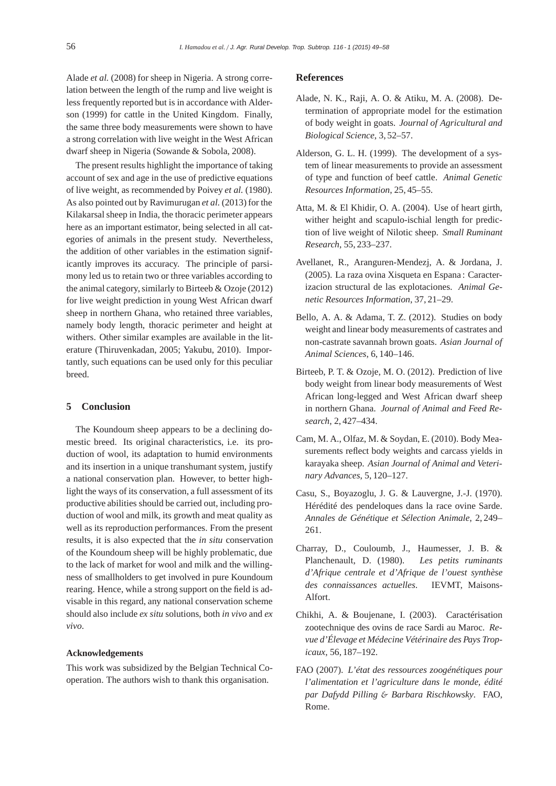Alade *et al.* (2008) for sheep in Nigeria. A strong correlation between the length of the rump and live weight is less frequently reported but is in accordance with Alderson (1999) for cattle in the United Kingdom. Finally, the same three body measurements were shown to have a strong correlation with live weight in the West African dwarf sheep in Nigeria (Sowande & Sobola, 2008).

The present results highlight the importance of taking account of sex and age in the use of predictive equations of live weight, as recommended by Poivey *et al.* (1980). As also pointed out by Ravimurugan *et al.* (2013) for the Kilakarsal sheep in India, the thoracic perimeter appears here as an important estimator, being selected in all categories of animals in the present study. Nevertheless, the addition of other variables in the estimation significantly improves its accuracy. The principle of parsimony led us to retain two or three variables according to the animal category, similarly to Birteeb & Ozoje (2012) for live weight prediction in young West African dwarf sheep in northern Ghana, who retained three variables, namely body length, thoracic perimeter and height at withers. Other similar examples are available in the literature (Thiruvenkadan, 2005; Yakubu, 2010). Importantly, such equations can be used only for this peculiar breed.

# **5 Conclusion**

The Koundoum sheep appears to be a declining domestic breed. Its original characteristics, i.e. its production of wool, its adaptation to humid environments and its insertion in a unique transhumant system, justify a national conservation plan. However, to better highlight the ways of its conservation, a full assessment of its productive abilities should be carried out, including production of wool and milk, its growth and meat quality as well as its reproduction performances. From the present results, it is also expected that the *in situ* conservation of the Koundoum sheep will be highly problematic, due to the lack of market for wool and milk and the willingness of smallholders to get involved in pure Koundoum rearing. Hence, while a strong support on the field is advisable in this regard, any national conservation scheme should also include *ex situ* solutions, both *in vivo* and *ex vivo*.

## **Acknowledgements**

This work was subsidized by the Belgian Technical Cooperation. The authors wish to thank this organisation.

#### **References**

- Alade, N. K., Raji, A. O. & Atiku, M. A. (2008). Determination of appropriate model for the estimation of body weight in goats. *Journal of Agricultural and Biological Science*, 3, 52–57.
- Alderson, G. L. H. (1999). The development of a system of linear measurements to provide an assessment of type and function of beef cattle. *Animal Genetic Resources Information*, 25, 45–55.
- Atta, M. & El Khidir, O. A. (2004). Use of heart girth, wither height and scapulo-ischial length for prediction of live weight of Nilotic sheep. *Small Ruminant Research*, 55, 233–237.
- Avellanet, R., Aranguren-Mendezj, A. & Jordana, J. (2005). La raza ovina Xisqueta en Espana : Caracterizacion structural de las explotaciones. *Animal Genetic Resources Information*, 37, 21–29.
- Bello, A. A. & Adama, T. Z. (2012). Studies on body weight and linear body measurements of castrates and non-castrate savannah brown goats. *Asian Journal of Animal Sciences*, 6, 140–146.
- Birteeb, P. T. & Ozoje, M. O. (2012). Prediction of live body weight from linear body measurements of West African long-legged and West African dwarf sheep in northern Ghana. *Journal of Animal and Feed Research*, 2, 427–434.
- Cam, M. A., Olfaz, M. & Soydan, E. (2010). Body Measurements reflect body weights and carcass yields in karayaka sheep. *Asian Journal of Animal and Veterinary Advances*, 5, 120–127.
- Casu, S., Boyazoglu, J. G. & Lauvergne, J.-J. (1970). Hérédité des pendeloques dans la race ovine Sarde. *Annales de Génétique et Sélection Animale*, 2, 249– 261.
- Charray, D., Couloumb, J., Haumesser, J. B. & Planchenault, D. (1980). *Les petits ruminants d'Afrique centrale et d'Afrique de l'ouest synthèse des connaissances actuelles*. IEVMT, Maisons-Alfort.
- Chikhi, A. & Boujenane, I. (2003). Caractérisation zootechnique des ovins de race Sardi au Maroc. *Revue d'Élevage et Médecine Vétérinaire des Pays Tropicaux*, 56, 187–192.
- FAO (2007). *L'état des ressources zoogénétiques pour l'alimentation et l'agriculture dans le monde, édité par Dafydd Pilling* & *Barbara Rischkowsky*. FAO, Rome.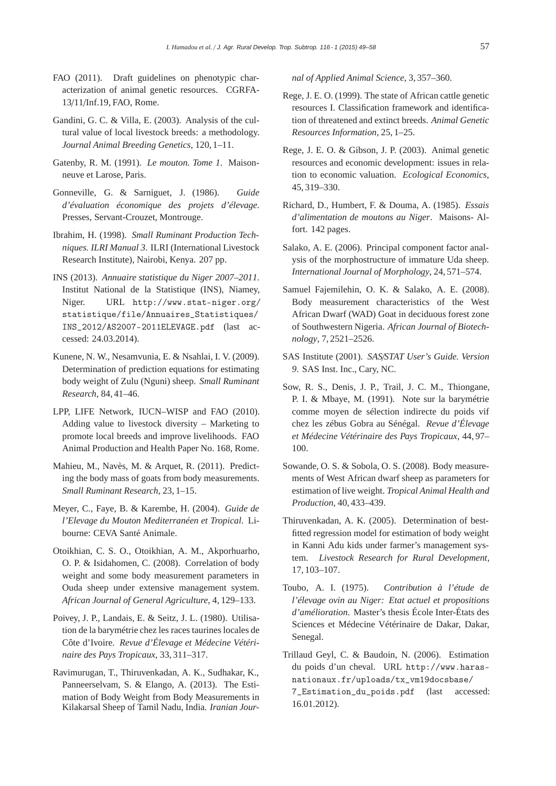- FAO (2011). Draft guidelines on phenotypic characterization of animal genetic resources. CGRFA-13/11/Inf.19, FAO, Rome.
- Gandini, G. C. & Villa, E. (2003). Analysis of the cultural value of local livestock breeds: a methodology. *Journal Animal Breeding Genetics*, 120, 1–11.
- Gatenby, R. M. (1991). *Le mouton. Tome 1*. Maisonneuve et Larose, Paris.
- Gonneville, G. & Sarniguet, J. (1986). *Guide d'évaluation économique des projets d'élevage*. Presses, Servant-Crouzet, Montrouge.
- Ibrahim, H. (1998). *Small Ruminant Production Techniques. ILRI Manual 3*. ILRI (International Livestock Research Institute), Nairobi, Kenya. 207 pp.
- INS (2013). *Annuaire statistique du Niger 2007–2011*. Institut National de la Statistique (INS), Niamey, Niger. URL http://www.stat-niger.org/ statistique/file/Annuaires\_Statistiques/ INS\_2012/AS2007-2011ELEVAGE.pdf (last accessed: 24.03.2014).
- Kunene, N. W., Nesamvunia, E. & Nsahlai, I. V. (2009). Determination of prediction equations for estimating body weight of Zulu (Nguni) sheep. *Small Ruminant Research*, 84, 41–46.
- LPP, LIFE Network, IUCN–WISP and FAO (2010). Adding value to livestock diversity – Marketing to promote local breeds and improve livelihoods. FAO Animal Production and Health Paper No. 168, Rome.
- Mahieu, M., Navès, M. & Arquet, R. (2011). Predicting the body mass of goats from body measurements. *Small Ruminant Research*, 23, 1–15.
- Meyer, C., Faye, B. & Karembe, H. (2004). *Guide de l'Elevage du Mouton Mediterranéen et Tropical*. Libourne: CEVA Santé Animale.
- Otoikhian, C. S. O., Otoikhian, A. M., Akporhuarho, O. P. & Isidahomen, C. (2008). Correlation of body weight and some body measurement parameters in Ouda sheep under extensive management system. *African Journal of General Agriculture*, 4, 129–133.
- Poivey, J. P., Landais, E. & Seitz, J. L. (1980). Utilisation de la barymétrie chez les races taurines locales de Côte d'Ivoire. *Revue d'Élevage et Médecine Vétérinaire des Pays Tropicaux*, 33, 311–317.
- Ravimurugan, T., Thiruvenkadan, A. K., Sudhakar, K., Panneerselvam, S. & Elango, A. (2013). The Estimation of Body Weight from Body Measurements in Kilakarsal Sheep of Tamil Nadu, India. *Iranian Jour-*

*nal of Applied Animal Science*, 3, 357–360.

- Rege, J. E. O. (1999). The state of African cattle genetic resources I. Classification framework and identification of threatened and extinct breeds. *Animal Genetic Resources Information*, 25, 1–25.
- Rege, J. E. O. & Gibson, J. P. (2003). Animal genetic resources and economic development: issues in relation to economic valuation. *Ecological Economics*, 45, 319–330.
- Richard, D., Humbert, F. & Douma, A. (1985). *Essais d'alimentation de moutons au Niger*. Maisons- Alfort. 142 pages.
- Salako, A. E. (2006). Principal component factor analysis of the morphostructure of immature Uda sheep. *International Journal of Morphology*, 24, 571–574.
- Samuel Fajemilehin, O. K. & Salako, A. E. (2008). Body measurement characteristics of the West African Dwarf (WAD) Goat in deciduous forest zone of Southwestern Nigeria. *African Journal of Biotechnology*, 7, 2521–2526.
- SAS Institute (2001). *SAS*/*STAT User's Guide. Version 9*. SAS Inst. Inc., Cary, NC.
- Sow, R. S., Denis, J. P., Trail, J. C. M., Thiongane, P. I. & Mbaye, M. (1991). Note sur la barymétrie comme moyen de sélection indirecte du poids vif chez les zébus Gobra au Sénégal. *Revue d'Élevage et Médecine Vétérinaire des Pays Tropicaux*, 44, 97– 100.
- Sowande, O. S. & Sobola, O. S. (2008). Body measurements of West African dwarf sheep as parameters for estimation of live weight. *Tropical Animal Health and Production*, 40, 433–439.
- Thiruvenkadan, A. K. (2005). Determination of bestfitted regression model for estimation of body weight in Kanni Adu kids under farmer's management system. *Livestock Research for Rural Development*, 17, 103–107.
- Toubo, A. I. (1975). *Contribution à l'étude de l'élevage ovin au Niger: Etat actuel et propositions d'amélioration*. Master's thesis École Inter-États des Sciences et Médecine Vétérinaire de Dakar, Dakar, Senegal.
- Trillaud Geyl, C. & Baudoin, N. (2006). Estimation du poids d'un cheval. URL http://www.harasnationaux.fr/uploads/tx\_vm19docsbase/ 7\_Estimation\_du\_poids.pdf (last accessed: 16.01.2012).